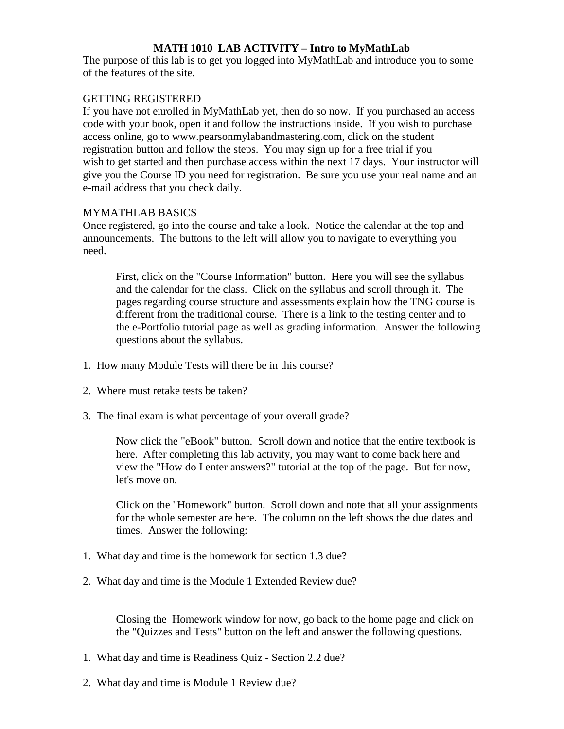# **MATH 1010 LAB ACTIVITY – Intro to MyMathLab**

The purpose of this lab is to get you logged into MyMathLab and introduce you to some of the features of the site.

# GETTING REGISTERED

If you have not enrolled in MyMathLab yet, then do so now. If you purchased an access code with your book, open it and follow the instructions inside. If you wish to purchase access online, go to www.pearsonmylabandmastering.com, click on the student registration button and follow the steps. You may sign up for a free trial if you wish to get started and then purchase access within the next 17 days. Your instructor will give you the Course ID you need for registration. Be sure you use your real name and an e-mail address that you check daily.

# MYMATHLAB BASICS

Once registered, go into the course and take a look. Notice the calendar at the top and announcements. The buttons to the left will allow you to navigate to everything you need.

First, click on the "Course Information" button. Here you will see the syllabus and the calendar for the class. Click on the syllabus and scroll through it. The pages regarding course structure and assessments explain how the TNG course is different from the traditional course. There is a link to the testing center and to the e-Portfolio tutorial page as well as grading information. Answer the following questions about the syllabus.

- 1. How many Module Tests will there be in this course?
- 2. Where must retake tests be taken?
- 3. The final exam is what percentage of your overall grade?

Now click the "eBook" button. Scroll down and notice that the entire textbook is here. After completing this lab activity, you may want to come back here and view the "How do I enter answers?" tutorial at the top of the page. But for now, let's move on.

Click on the "Homework" button. Scroll down and note that all your assignments for the whole semester are here. The column on the left shows the due dates and times. Answer the following:

- 1. What day and time is the homework for section 1.3 due?
- 2. What day and time is the Module 1 Extended Review due?

Closing the Homework window for now, go back to the home page and click on the "Quizzes and Tests" button on the left and answer the following questions.

- 1. What day and time is Readiness Quiz Section 2.2 due?
- 2. What day and time is Module 1 Review due?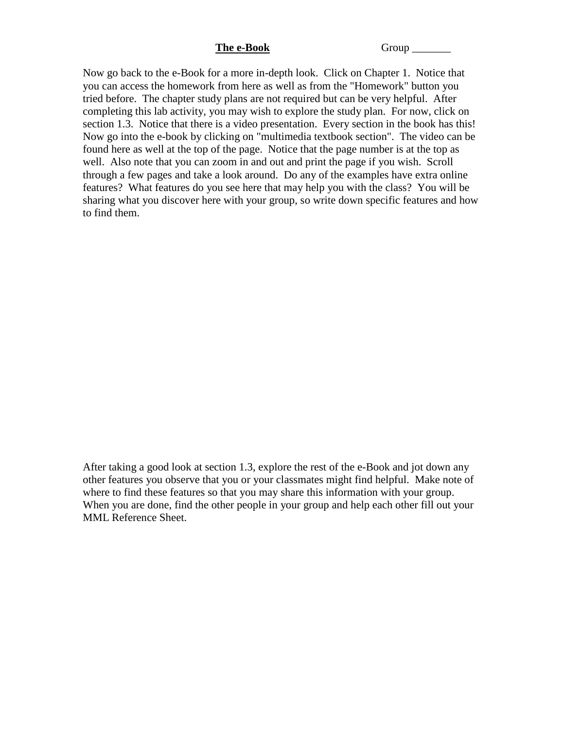**The e-Book** Group

Now go back to the e-Book for a more in-depth look. Click on Chapter 1. Notice that you can access the homework from here as well as from the "Homework" button you tried before. The chapter study plans are not required but can be very helpful. After completing this lab activity, you may wish to explore the study plan. For now, click on section 1.3. Notice that there is a video presentation. Every section in the book has this! Now go into the e-book by clicking on "multimedia textbook section". The video can be found here as well at the top of the page. Notice that the page number is at the top as well. Also note that you can zoom in and out and print the page if you wish. Scroll through a few pages and take a look around. Do any of the examples have extra online features? What features do you see here that may help you with the class? You will be sharing what you discover here with your group, so write down specific features and how to find them.

After taking a good look at section 1.3, explore the rest of the e-Book and jot down any other features you observe that you or your classmates might find helpful. Make note of where to find these features so that you may share this information with your group. When you are done, find the other people in your group and help each other fill out your MML Reference Sheet.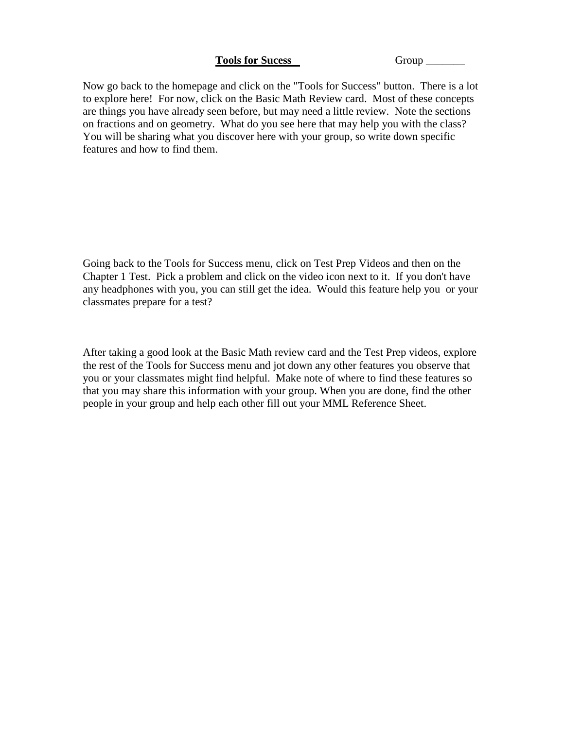### Tools for Sucess Group \_\_\_\_\_\_\_\_\_

Now go back to the homepage and click on the "Tools for Success" button. There is a lot to explore here! For now, click on the Basic Math Review card. Most of these concepts are things you have already seen before, but may need a little review. Note the sections on fractions and on geometry. What do you see here that may help you with the class? You will be sharing what you discover here with your group, so write down specific features and how to find them.

Going back to the Tools for Success menu, click on Test Prep Videos and then on the Chapter 1 Test. Pick a problem and click on the video icon next to it. If you don't have any headphones with you, you can still get the idea. Would this feature help you or your classmates prepare for a test?

After taking a good look at the Basic Math review card and the Test Prep videos, explore the rest of the Tools for Success menu and jot down any other features you observe that you or your classmates might find helpful. Make note of where to find these features so that you may share this information with your group. When you are done, find the other people in your group and help each other fill out your MML Reference Sheet.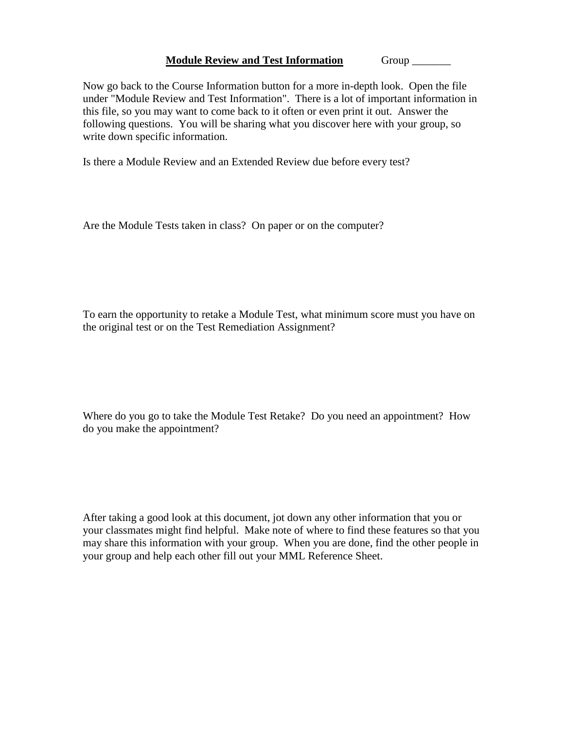### **Module Review and Test Information** Group \_\_\_\_\_\_\_

Now go back to the Course Information button for a more in-depth look. Open the file under "Module Review and Test Information". There is a lot of important information in this file, so you may want to come back to it often or even print it out. Answer the following questions. You will be sharing what you discover here with your group, so write down specific information.

Is there a Module Review and an Extended Review due before every test?

Are the Module Tests taken in class? On paper or on the computer?

To earn the opportunity to retake a Module Test, what minimum score must you have on the original test or on the Test Remediation Assignment?

Where do you go to take the Module Test Retake? Do you need an appointment? How do you make the appointment?

After taking a good look at this document, jot down any other information that you or your classmates might find helpful. Make note of where to find these features so that you may share this information with your group. When you are done, find the other people in your group and help each other fill out your MML Reference Sheet.